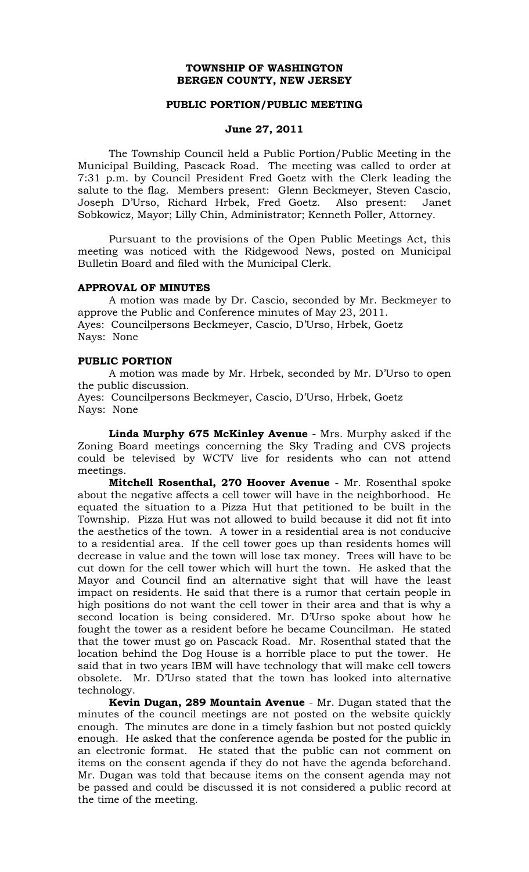#### **TOWNSHIP OF WASHINGTON BERGEN COUNTY, NEW JERSEY**

#### **PUBLIC PORTION/PUBLIC MEETING**

#### **June 27, 2011**

The Township Council held a Public Portion/Public Meeting in the Municipal Building, Pascack Road. The meeting was called to order at 7:31 p.m. by Council President Fred Goetz with the Clerk leading the salute to the flag. Members present: Glenn Beckmeyer, Steven Cascio, Joseph D'Urso, Richard Hrbek, Fred Goetz. Also present: Janet Sobkowicz, Mayor; Lilly Chin, Administrator; Kenneth Poller, Attorney.

Pursuant to the provisions of the Open Public Meetings Act, this meeting was noticed with the Ridgewood News, posted on Municipal Bulletin Board and filed with the Municipal Clerk.

#### **APPROVAL OF MINUTES**

A motion was made by Dr. Cascio, seconded by Mr. Beckmeyer to approve the Public and Conference minutes of May 23, 2011. Ayes: Councilpersons Beckmeyer, Cascio, D'Urso, Hrbek, Goetz Nays: None

#### **PUBLIC PORTION**

A motion was made by Mr. Hrbek, seconded by Mr. D'Urso to open the public discussion.

Ayes: Councilpersons Beckmeyer, Cascio, D'Urso, Hrbek, Goetz Nays: None

**Linda Murphy 675 McKinley Avenue** - Mrs. Murphy asked if the Zoning Board meetings concerning the Sky Trading and CVS projects could be televised by WCTV live for residents who can not attend meetings.

**Mitchell Rosenthal, 270 Hoover Avenue** - Mr. Rosenthal spoke about the negative affects a cell tower will have in the neighborhood. He equated the situation to a Pizza Hut that petitioned to be built in the Township. Pizza Hut was not allowed to build because it did not fit into the aesthetics of the town. A tower in a residential area is not conducive to a residential area. If the cell tower goes up than residents homes will decrease in value and the town will lose tax money. Trees will have to be cut down for the cell tower which will hurt the town. He asked that the Mayor and Council find an alternative sight that will have the least impact on residents. He said that there is a rumor that certain people in high positions do not want the cell tower in their area and that is why a second location is being considered. Mr. D'Urso spoke about how he fought the tower as a resident before he became Councilman. He stated that the tower must go on Pascack Road. Mr. Rosenthal stated that the location behind the Dog House is a horrible place to put the tower. He said that in two years IBM will have technology that will make cell towers obsolete. Mr. D'Urso stated that the town has looked into alternative technology.

**Kevin Dugan, 289 Mountain Avenue** - Mr. Dugan stated that the minutes of the council meetings are not posted on the website quickly enough. The minutes are done in a timely fashion but not posted quickly enough. He asked that the conference agenda be posted for the public in an electronic format. He stated that the public can not comment on items on the consent agenda if they do not have the agenda beforehand. Mr. Dugan was told that because items on the consent agenda may not be passed and could be discussed it is not considered a public record at the time of the meeting.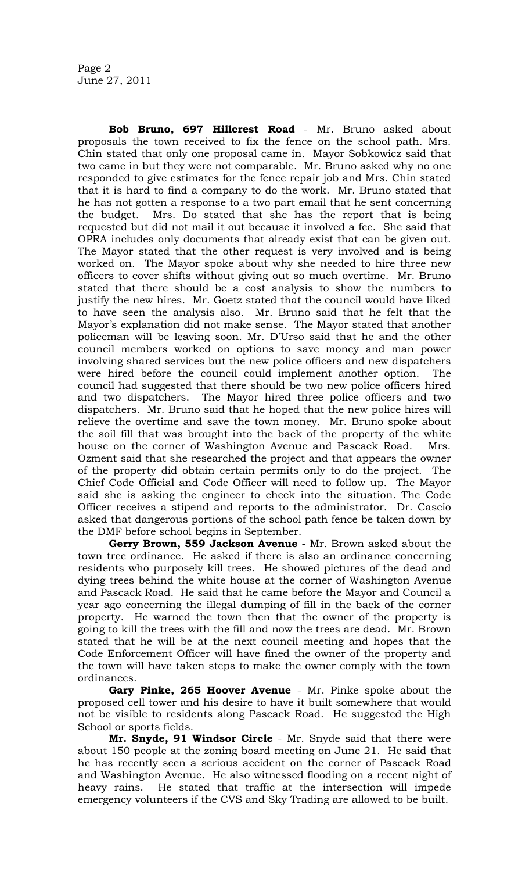**Bob Bruno, 697 Hillcrest Road** - Mr. Bruno asked about proposals the town received to fix the fence on the school path. Mrs. Chin stated that only one proposal came in. Mayor Sobkowicz said that two came in but they were not comparable. Mr. Bruno asked why no one responded to give estimates for the fence repair job and Mrs. Chin stated that it is hard to find a company to do the work. Mr. Bruno stated that he has not gotten a response to a two part email that he sent concerning the budget. Mrs. Do stated that she has the report that is being requested but did not mail it out because it involved a fee. She said that OPRA includes only documents that already exist that can be given out. The Mayor stated that the other request is very involved and is being worked on. The Mayor spoke about why she needed to hire three new officers to cover shifts without giving out so much overtime. Mr. Bruno stated that there should be a cost analysis to show the numbers to justify the new hires. Mr. Goetz stated that the council would have liked to have seen the analysis also. Mr. Bruno said that he felt that the Mayor's explanation did not make sense. The Mayor stated that another policeman will be leaving soon. Mr. D'Urso said that he and the other council members worked on options to save money and man power involving shared services but the new police officers and new dispatchers were hired before the council could implement another option. The council had suggested that there should be two new police officers hired and two dispatchers. The Mayor hired three police officers and two dispatchers. Mr. Bruno said that he hoped that the new police hires will relieve the overtime and save the town money. Mr. Bruno spoke about the soil fill that was brought into the back of the property of the white house on the corner of Washington Avenue and Pascack Road. Mrs. Ozment said that she researched the project and that appears the owner of the property did obtain certain permits only to do the project. The Chief Code Official and Code Officer will need to follow up. The Mayor said she is asking the engineer to check into the situation. The Code Officer receives a stipend and reports to the administrator. Dr. Cascio asked that dangerous portions of the school path fence be taken down by the DMF before school begins in September.

**Gerry Brown, 559 Jackson Avenue** - Mr. Brown asked about the town tree ordinance. He asked if there is also an ordinance concerning residents who purposely kill trees. He showed pictures of the dead and dying trees behind the white house at the corner of Washington Avenue and Pascack Road. He said that he came before the Mayor and Council a year ago concerning the illegal dumping of fill in the back of the corner property. He warned the town then that the owner of the property is going to kill the trees with the fill and now the trees are dead. Mr. Brown stated that he will be at the next council meeting and hopes that the Code Enforcement Officer will have fined the owner of the property and the town will have taken steps to make the owner comply with the town ordinances.

**Gary Pinke, 265 Hoover Avenue** - Mr. Pinke spoke about the proposed cell tower and his desire to have it built somewhere that would not be visible to residents along Pascack Road. He suggested the High School or sports fields.

**Mr. Snyde, 91 Windsor Circle** - Mr. Snyde said that there were about 150 people at the zoning board meeting on June 21. He said that he has recently seen a serious accident on the corner of Pascack Road and Washington Avenue. He also witnessed flooding on a recent night of heavy rains. He stated that traffic at the intersection will impede emergency volunteers if the CVS and Sky Trading are allowed to be built.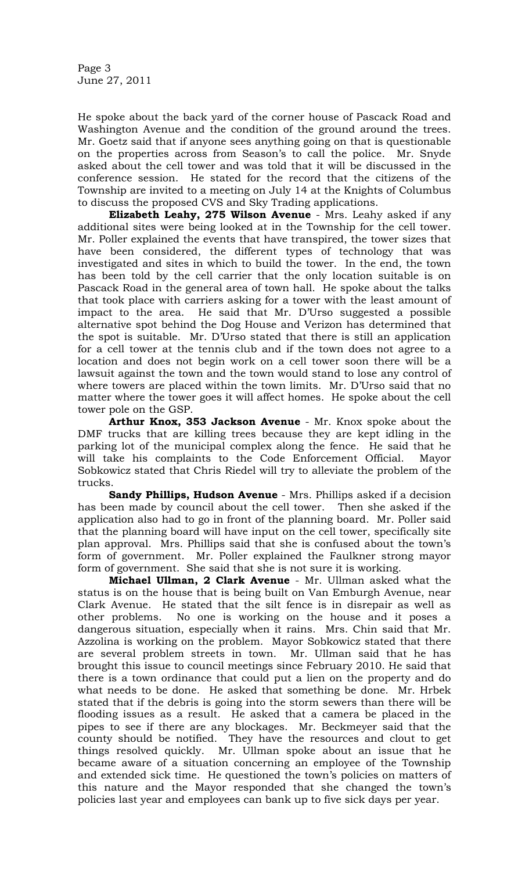Page 3 June 27, 2011

He spoke about the back yard of the corner house of Pascack Road and Washington Avenue and the condition of the ground around the trees. Mr. Goetz said that if anyone sees anything going on that is questionable on the properties across from Season's to call the police. Mr. Snyde asked about the cell tower and was told that it will be discussed in the conference session. He stated for the record that the citizens of the Township are invited to a meeting on July 14 at the Knights of Columbus to discuss the proposed CVS and Sky Trading applications.

**Elizabeth Leahy, 275 Wilson Avenue** - Mrs. Leahy asked if any additional sites were being looked at in the Township for the cell tower. Mr. Poller explained the events that have transpired, the tower sizes that have been considered, the different types of technology that was investigated and sites in which to build the tower. In the end, the town has been told by the cell carrier that the only location suitable is on Pascack Road in the general area of town hall. He spoke about the talks that took place with carriers asking for a tower with the least amount of impact to the area. He said that Mr. D'Urso suggested a possible alternative spot behind the Dog House and Verizon has determined that the spot is suitable. Mr. D'Urso stated that there is still an application for a cell tower at the tennis club and if the town does not agree to a location and does not begin work on a cell tower soon there will be a lawsuit against the town and the town would stand to lose any control of where towers are placed within the town limits. Mr. D'Urso said that no matter where the tower goes it will affect homes. He spoke about the cell tower pole on the GSP.

**Arthur Knox, 353 Jackson Avenue** - Mr. Knox spoke about the DMF trucks that are killing trees because they are kept idling in the parking lot of the municipal complex along the fence. He said that he will take his complaints to the Code Enforcement Official. Mayor Sobkowicz stated that Chris Riedel will try to alleviate the problem of the trucks.

**Sandy Phillips, Hudson Avenue** - Mrs. Phillips asked if a decision has been made by council about the cell tower. Then she asked if the application also had to go in front of the planning board. Mr. Poller said that the planning board will have input on the cell tower, specifically site plan approval. Mrs. Phillips said that she is confused about the town's form of government. Mr. Poller explained the Faulkner strong mayor form of government. She said that she is not sure it is working.

**Michael Ullman, 2 Clark Avenue** - Mr. Ullman asked what the status is on the house that is being built on Van Emburgh Avenue, near Clark Avenue. He stated that the silt fence is in disrepair as well as other problems. No one is working on the house and it poses a dangerous situation, especially when it rains. Mrs. Chin said that Mr. Azzolina is working on the problem. Mayor Sobkowicz stated that there are several problem streets in town. Mr. Ullman said that he has brought this issue to council meetings since February 2010. He said that there is a town ordinance that could put a lien on the property and do what needs to be done. He asked that something be done. Mr. Hrbek stated that if the debris is going into the storm sewers than there will be flooding issues as a result. He asked that a camera be placed in the pipes to see if there are any blockages. Mr. Beckmeyer said that the county should be notified. They have the resources and clout to get things resolved quickly. Mr. Ullman spoke about an issue that he became aware of a situation concerning an employee of the Township and extended sick time. He questioned the town's policies on matters of this nature and the Mayor responded that she changed the town's policies last year and employees can bank up to five sick days per year.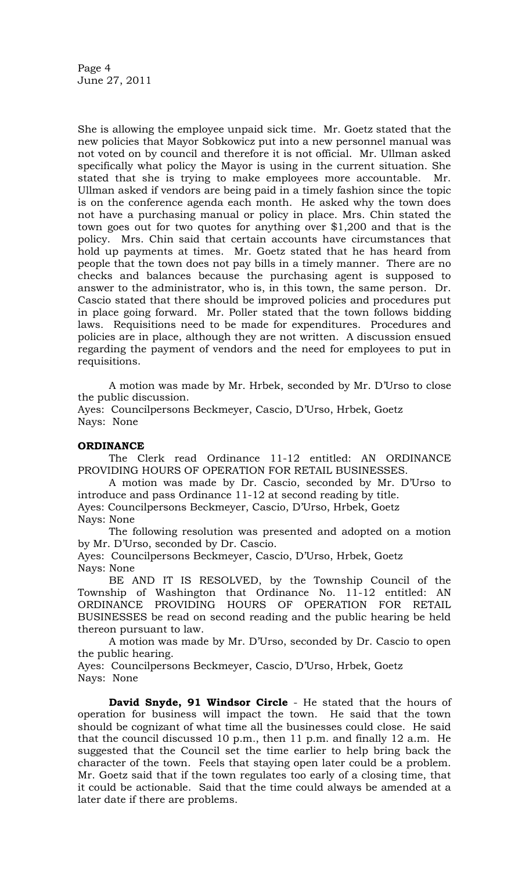Page 4 June 27, 2011

She is allowing the employee unpaid sick time. Mr. Goetz stated that the new policies that Mayor Sobkowicz put into a new personnel manual was not voted on by council and therefore it is not official. Mr. Ullman asked specifically what policy the Mayor is using in the current situation. She stated that she is trying to make employees more accountable. Mr. Ullman asked if vendors are being paid in a timely fashion since the topic is on the conference agenda each month. He asked why the town does not have a purchasing manual or policy in place. Mrs. Chin stated the town goes out for two quotes for anything over \$1,200 and that is the policy. Mrs. Chin said that certain accounts have circumstances that hold up payments at times. Mr. Goetz stated that he has heard from people that the town does not pay bills in a timely manner. There are no checks and balances because the purchasing agent is supposed to answer to the administrator, who is, in this town, the same person. Dr. Cascio stated that there should be improved policies and procedures put in place going forward. Mr. Poller stated that the town follows bidding laws. Requisitions need to be made for expenditures. Procedures and policies are in place, although they are not written. A discussion ensued regarding the payment of vendors and the need for employees to put in requisitions.

A motion was made by Mr. Hrbek, seconded by Mr. D'Urso to close the public discussion.

Ayes: Councilpersons Beckmeyer, Cascio, D'Urso, Hrbek, Goetz Nays: None

# **ORDINANCE**

The Clerk read Ordinance 11-12 entitled: AN ORDINANCE PROVIDING HOURS OF OPERATION FOR RETAIL BUSINESSES.

A motion was made by Dr. Cascio, seconded by Mr. D'Urso to introduce and pass Ordinance 11-12 at second reading by title.

Ayes: Councilpersons Beckmeyer, Cascio, D'Urso, Hrbek, Goetz Nays: None

The following resolution was presented and adopted on a motion by Mr. D'Urso, seconded by Dr. Cascio.

Ayes: Councilpersons Beckmeyer, Cascio, D'Urso, Hrbek, Goetz Nays: None

BE AND IT IS RESOLVED, by the Township Council of the Township of Washington that Ordinance No. 11-12 entitled: AN ORDINANCE PROVIDING HOURS OF OPERATION FOR RETAIL BUSINESSES be read on second reading and the public hearing be held thereon pursuant to law.

A motion was made by Mr. D'Urso, seconded by Dr. Cascio to open the public hearing.

Ayes: Councilpersons Beckmeyer, Cascio, D'Urso, Hrbek, Goetz Nays: None

**David Snyde, 91 Windsor Circle** - He stated that the hours of operation for business will impact the town. He said that the town should be cognizant of what time all the businesses could close. He said that the council discussed 10 p.m., then 11 p.m. and finally 12 a.m. He suggested that the Council set the time earlier to help bring back the character of the town. Feels that staying open later could be a problem. Mr. Goetz said that if the town regulates too early of a closing time, that it could be actionable. Said that the time could always be amended at a later date if there are problems.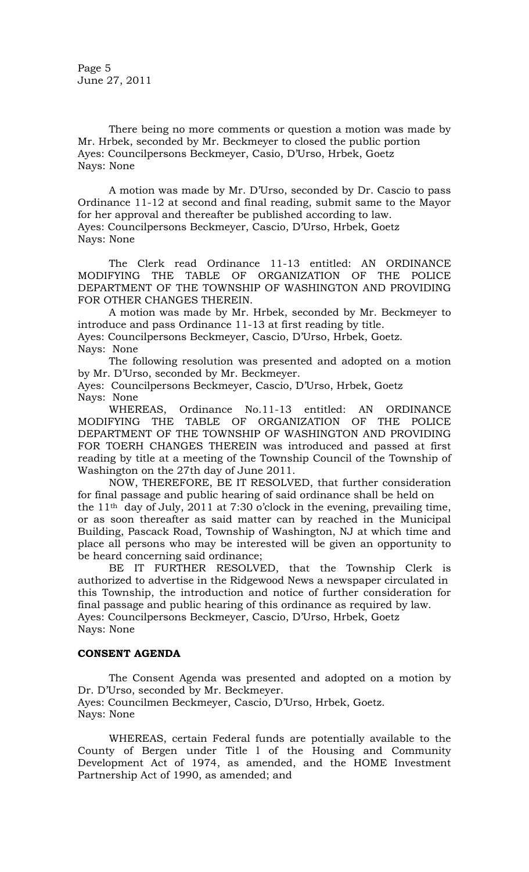There being no more comments or question a motion was made by Mr. Hrbek, seconded by Mr. Beckmeyer to closed the public portion Ayes: Councilpersons Beckmeyer, Casio, D'Urso, Hrbek, Goetz Nays: None

A motion was made by Mr. D'Urso, seconded by Dr. Cascio to pass Ordinance 11-12 at second and final reading, submit same to the Mayor for her approval and thereafter be published according to law. Ayes: Councilpersons Beckmeyer, Cascio, D'Urso, Hrbek, Goetz Nays: None

The Clerk read Ordinance 11-13 entitled: AN ORDINANCE MODIFYING THE TABLE OF ORGANIZATION OF THE POLICE DEPARTMENT OF THE TOWNSHIP OF WASHINGTON AND PROVIDING FOR OTHER CHANGES THEREIN.

A motion was made by Mr. Hrbek, seconded by Mr. Beckmeyer to introduce and pass Ordinance 11-13 at first reading by title. Ayes: Councilpersons Beckmeyer, Cascio, D'Urso, Hrbek, Goetz. Nays: None

The following resolution was presented and adopted on a motion by Mr. D'Urso, seconded by Mr. Beckmeyer.

Ayes: Councilpersons Beckmeyer, Cascio, D'Urso, Hrbek, Goetz Nays: None

WHEREAS, Ordinance No.11-13 entitled: AN ORDINANCE MODIFYING THE TABLE OF ORGANIZATION OF THE POLICE DEPARTMENT OF THE TOWNSHIP OF WASHINGTON AND PROVIDING FOR TOERH CHANGES THEREIN was introduced and passed at first reading by title at a meeting of the Township Council of the Township of Washington on the 27th day of June 2011.

NOW, THEREFORE, BE IT RESOLVED, that further consideration for final passage and public hearing of said ordinance shall be held on the  $11<sup>th</sup>$  day of July, 2011 at 7:30 o'clock in the evening, prevailing time, or as soon thereafter as said matter can by reached in the Municipal Building, Pascack Road, Township of Washington, NJ at which time and place all persons who may be interested will be given an opportunity to be heard concerning said ordinance;

BE IT FURTHER RESOLVED, that the Township Clerk is authorized to advertise in the Ridgewood News a newspaper circulated in this Township, the introduction and notice of further consideration for final passage and public hearing of this ordinance as required by law. Ayes: Councilpersons Beckmeyer, Cascio, D'Urso, Hrbek, Goetz Nays: None

# **CONSENT AGENDA**

The Consent Agenda was presented and adopted on a motion by Dr. D'Urso, seconded by Mr. Beckmeyer. Ayes: Councilmen Beckmeyer, Cascio, D'Urso, Hrbek, Goetz. Nays: None

WHEREAS, certain Federal funds are potentially available to the County of Bergen under Title l of the Housing and Community Development Act of 1974, as amended, and the HOME Investment Partnership Act of 1990, as amended; and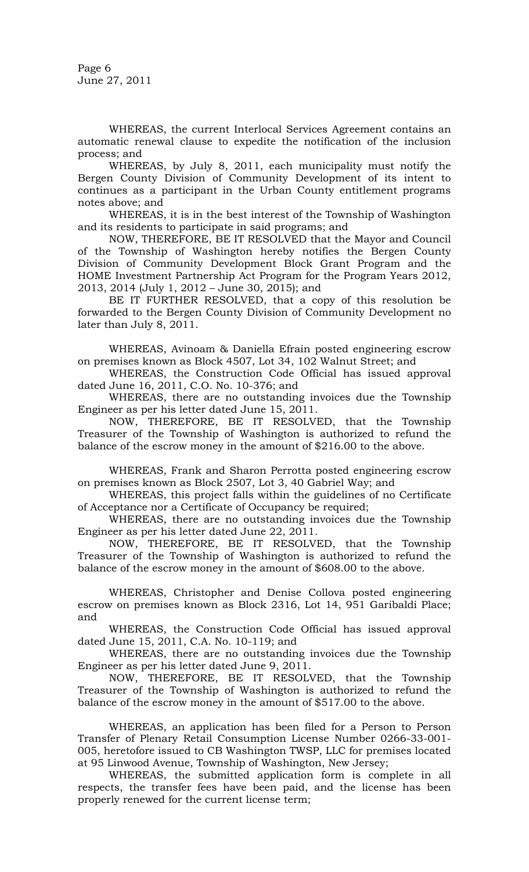Page 6 June 27, 2011

WHEREAS, the current Interlocal Services Agreement contains an automatic renewal clause to expedite the notification of the inclusion process; and

WHEREAS, by July 8, 2011, each municipality must notify the Bergen County Division of Community Development of its intent to continues as a participant in the Urban County entitlement programs notes above; and

WHEREAS, it is in the best interest of the Township of Washington and its residents to participate in said programs; and

NOW, THEREFORE, BE IT RESOLVED that the Mayor and Council of the Township of Washington hereby notifies the Bergen County Division of Community Development Block Grant Program and the HOME Investment Partnership Act Program for the Program Years 2012, 2013, 2014 (July 1, 2012 – June 30, 2015); and

BE IT FURTHER RESOLVED, that a copy of this resolution be forwarded to the Bergen County Division of Community Development no later than July 8, 2011.

WHEREAS, Avinoam & Daniella Efrain posted engineering escrow on premises known as Block 4507, Lot 34, 102 Walnut Street; and

WHEREAS, the Construction Code Official has issued approval dated June 16, 2011, C.O. No. 10-376; and

WHEREAS, there are no outstanding invoices due the Township Engineer as per his letter dated June 15, 2011.

NOW, THEREFORE, BE IT RESOLVED, that the Township Treasurer of the Township of Washington is authorized to refund the balance of the escrow money in the amount of \$216.00 to the above.

WHEREAS, Frank and Sharon Perrotta posted engineering escrow on premises known as Block 2507, Lot 3, 40 Gabriel Way; and

WHEREAS, this project falls within the guidelines of no Certificate of Acceptance nor a Certificate of Occupancy be required;

WHEREAS, there are no outstanding invoices due the Township Engineer as per his letter dated June 22, 2011.

NOW, THEREFORE, BE IT RESOLVED, that the Township Treasurer of the Township of Washington is authorized to refund the balance of the escrow money in the amount of \$608.00 to the above.

WHEREAS, Christopher and Denise Collova posted engineering escrow on premises known as Block 2316, Lot 14, 951 Garibaldi Place; and

WHEREAS, the Construction Code Official has issued approval dated June 15, 2011, C.A. No. 10-119; and

WHEREAS, there are no outstanding invoices due the Township Engineer as per his letter dated June 9, 2011.

NOW, THEREFORE, BE IT RESOLVED, that the Township Treasurer of the Township of Washington is authorized to refund the balance of the escrow money in the amount of \$517.00 to the above.

WHEREAS, an application has been filed for a Person to Person Transfer of Plenary Retail Consumption License Number 0266-33-001- 005, heretofore issued to CB Washington TWSP, LLC for premises located at 95 Linwood Avenue, Township of Washington, New Jersey;

WHEREAS, the submitted application form is complete in all respects, the transfer fees have been paid, and the license has been properly renewed for the current license term;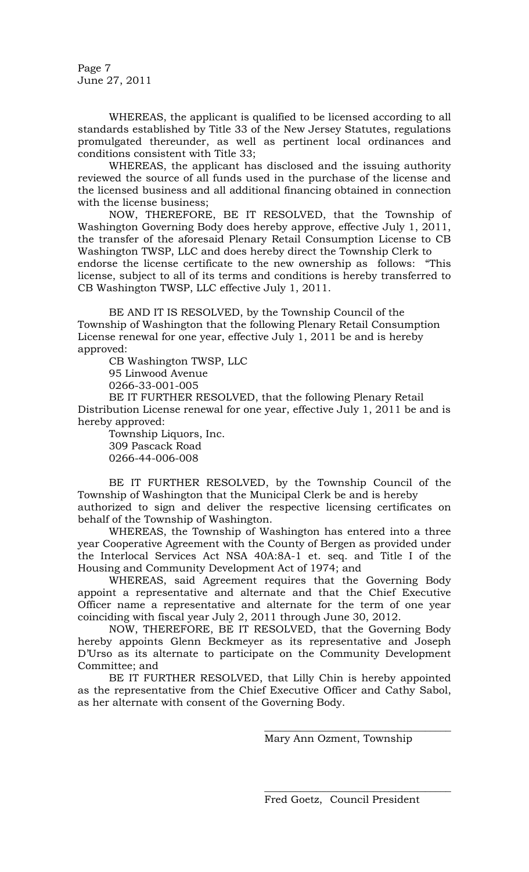Page 7 June 27, 2011

WHEREAS, the applicant is qualified to be licensed according to all standards established by Title 33 of the New Jersey Statutes, regulations promulgated thereunder, as well as pertinent local ordinances and conditions consistent with Title 33;

WHEREAS, the applicant has disclosed and the issuing authority reviewed the source of all funds used in the purchase of the license and the licensed business and all additional financing obtained in connection with the license business;

NOW, THEREFORE, BE IT RESOLVED, that the Township of Washington Governing Body does hereby approve, effective July 1, 2011, the transfer of the aforesaid Plenary Retail Consumption License to CB Washington TWSP, LLC and does hereby direct the Township Clerk to endorse the license certificate to the new ownership as follows: "This license, subject to all of its terms and conditions is hereby transferred to CB Washington TWSP, LLC effective July 1, 2011.

BE AND IT IS RESOLVED, by the Township Council of the Township of Washington that the following Plenary Retail Consumption License renewal for one year, effective July 1, 2011 be and is hereby approved:

CB Washington TWSP, LLC

95 Linwood Avenue

0266-33-001-005

BE IT FURTHER RESOLVED, that the following Plenary Retail Distribution License renewal for one year, effective July 1, 2011 be and is hereby approved:

Township Liquors, Inc. 309 Pascack Road 0266-44-006-008

BE IT FURTHER RESOLVED, by the Township Council of the Township of Washington that the Municipal Clerk be and is hereby authorized to sign and deliver the respective licensing certificates on behalf of the Township of Washington.

WHEREAS, the Township of Washington has entered into a three year Cooperative Agreement with the County of Bergen as provided under the Interlocal Services Act NSA 40A:8A-1 et. seq. and Title I of the Housing and Community Development Act of 1974; and

WHEREAS, said Agreement requires that the Governing Body appoint a representative and alternate and that the Chief Executive Officer name a representative and alternate for the term of one year coinciding with fiscal year July 2, 2011 through June 30, 2012.

NOW, THEREFORE, BE IT RESOLVED, that the Governing Body hereby appoints Glenn Beckmeyer as its representative and Joseph D'Urso as its alternate to participate on the Community Development Committee; and

BE IT FURTHER RESOLVED, that Lilly Chin is hereby appointed as the representative from the Chief Executive Officer and Cathy Sabol, as her alternate with consent of the Governing Body.

Mary Ann Ozment, Township

\_\_\_\_\_\_\_\_\_\_\_\_\_\_\_\_\_\_\_\_\_\_\_\_\_\_\_\_\_\_\_\_\_\_\_\_

\_\_\_\_\_\_\_\_\_\_\_\_\_\_\_\_\_\_\_\_\_\_\_\_\_\_\_\_\_\_\_\_\_\_\_\_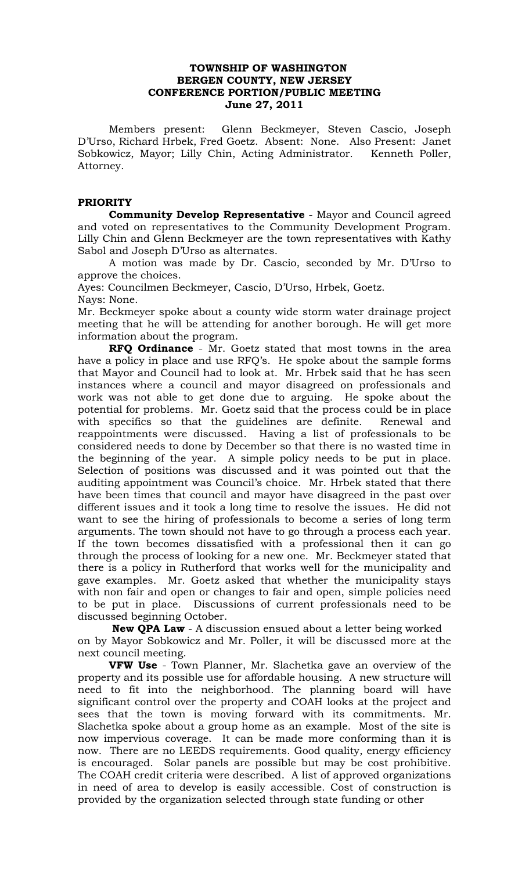# **TOWNSHIP OF WASHINGTON BERGEN COUNTY, NEW JERSEY CONFERENCE PORTION/PUBLIC MEETING June 27, 2011**

Members present: Glenn Beckmeyer, Steven Cascio, Joseph D'Urso, Richard Hrbek, Fred Goetz. Absent: None. Also Present: Janet Sobkowicz, Mayor; Lilly Chin, Acting Administrator. Kenneth Poller, Attorney.

# **PRIORITY**

**Community Develop Representative** - Mayor and Council agreed and voted on representatives to the Community Development Program. Lilly Chin and Glenn Beckmeyer are the town representatives with Kathy Sabol and Joseph D'Urso as alternates.

A motion was made by Dr. Cascio, seconded by Mr. D'Urso to approve the choices.

Ayes: Councilmen Beckmeyer, Cascio, D'Urso, Hrbek, Goetz. Nays: None.

Mr. Beckmeyer spoke about a county wide storm water drainage project meeting that he will be attending for another borough. He will get more information about the program.

**RFQ Ordinance** - Mr. Goetz stated that most towns in the area have a policy in place and use RFQ's. He spoke about the sample forms that Mayor and Council had to look at. Mr. Hrbek said that he has seen instances where a council and mayor disagreed on professionals and work was not able to get done due to arguing. He spoke about the potential for problems. Mr. Goetz said that the process could be in place with specifics so that the guidelines are definite. Renewal and reappointments were discussed. Having a list of professionals to be considered needs to done by December so that there is no wasted time in the beginning of the year. A simple policy needs to be put in place. Selection of positions was discussed and it was pointed out that the auditing appointment was Council's choice. Mr. Hrbek stated that there have been times that council and mayor have disagreed in the past over different issues and it took a long time to resolve the issues. He did not want to see the hiring of professionals to become a series of long term arguments. The town should not have to go through a process each year. If the town becomes dissatisfied with a professional then it can go through the process of looking for a new one. Mr. Beckmeyer stated that there is a policy in Rutherford that works well for the municipality and gave examples. Mr. Goetz asked that whether the municipality stays with non fair and open or changes to fair and open, simple policies need to be put in place. Discussions of current professionals need to be discussed beginning October.

**New QPA Law** - A discussion ensued about a letter being worked on by Mayor Sobkowicz and Mr. Poller, it will be discussed more at the next council meeting.

**VFW Use** - Town Planner, Mr. Slachetka gave an overview of the property and its possible use for affordable housing. A new structure will need to fit into the neighborhood. The planning board will have significant control over the property and COAH looks at the project and sees that the town is moving forward with its commitments. Mr. Slachetka spoke about a group home as an example. Most of the site is now impervious coverage. It can be made more conforming than it is now. There are no LEEDS requirements. Good quality, energy efficiency is encouraged. Solar panels are possible but may be cost prohibitive. The COAH credit criteria were described. A list of approved organizations in need of area to develop is easily accessible. Cost of construction is provided by the organization selected through state funding or other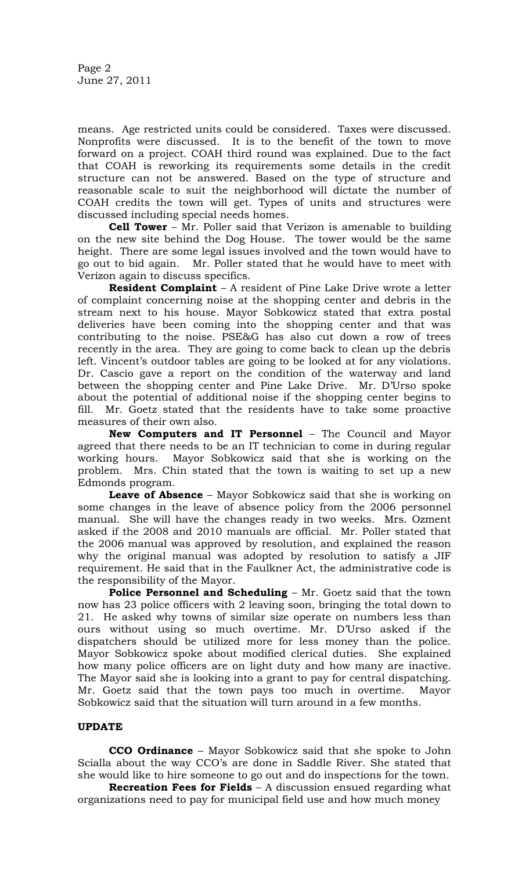means. Age restricted units could be considered. Taxes were discussed. Nonprofits were discussed. It is to the benefit of the town to move forward on a project. COAH third round was explained. Due to the fact that COAH is reworking its requirements some details in the credit structure can not be answered. Based on the type of structure and reasonable scale to suit the neighborhood will dictate the number of COAH credits the town will get. Types of units and structures were discussed including special needs homes.

**Cell Tower** – Mr. Poller said that Verizon is amenable to building on the new site behind the Dog House. The tower would be the same height. There are some legal issues involved and the town would have to go out to bid again. Mr. Poller stated that he would have to meet with Verizon again to discuss specifics.

**Resident Complaint** – A resident of Pine Lake Drive wrote a letter of complaint concerning noise at the shopping center and debris in the stream next to his house. Mayor Sobkowicz stated that extra postal deliveries have been coming into the shopping center and that was contributing to the noise. PSE&G has also cut down a row of trees recently in the area. They are going to come back to clean up the debris left. Vincent's outdoor tables are going to be looked at for any violations. Dr. Cascio gave a report on the condition of the waterway and land between the shopping center and Pine Lake Drive. Mr. D'Urso spoke about the potential of additional noise if the shopping center begins to fill. Mr. Goetz stated that the residents have to take some proactive measures of their own also.

**New Computers and IT Personnel** – The Council and Mayor agreed that there needs to be an IT technician to come in during regular working hours. Mayor Sobkowicz said that she is working on the problem. Mrs. Chin stated that the town is waiting to set up a new Edmonds program.

**Leave of Absence** – Mayor Sobkowicz said that she is working on some changes in the leave of absence policy from the 2006 personnel manual. She will have the changes ready in two weeks. Mrs. Ozment asked if the 2008 and 2010 manuals are official. Mr. Poller stated that the 2006 manual was approved by resolution, and explained the reason why the original manual was adopted by resolution to satisfy a JIF requirement. He said that in the Faulkner Act, the administrative code is the responsibility of the Mayor.

**Police Personnel and Scheduling – Mr. Goetz said that the town** now has 23 police officers with 2 leaving soon, bringing the total down to 21. He asked why towns of similar size operate on numbers less than ours without using so much overtime. Mr. D'Urso asked if the dispatchers should be utilized more for less money than the police. Mayor Sobkowicz spoke about modified clerical duties. She explained how many police officers are on light duty and how many are inactive. The Mayor said she is looking into a grant to pay for central dispatching. Mr. Goetz said that the town pays too much in overtime. Mayor Sobkowicz said that the situation will turn around in a few months.

# **UPDATE**

**CCO Ordinance** – Mayor Sobkowicz said that she spoke to John Scialla about the way CCO's are done in Saddle River. She stated that she would like to hire someone to go out and do inspections for the town.

**Recreation Fees for Fields** – A discussion ensued regarding what organizations need to pay for municipal field use and how much money